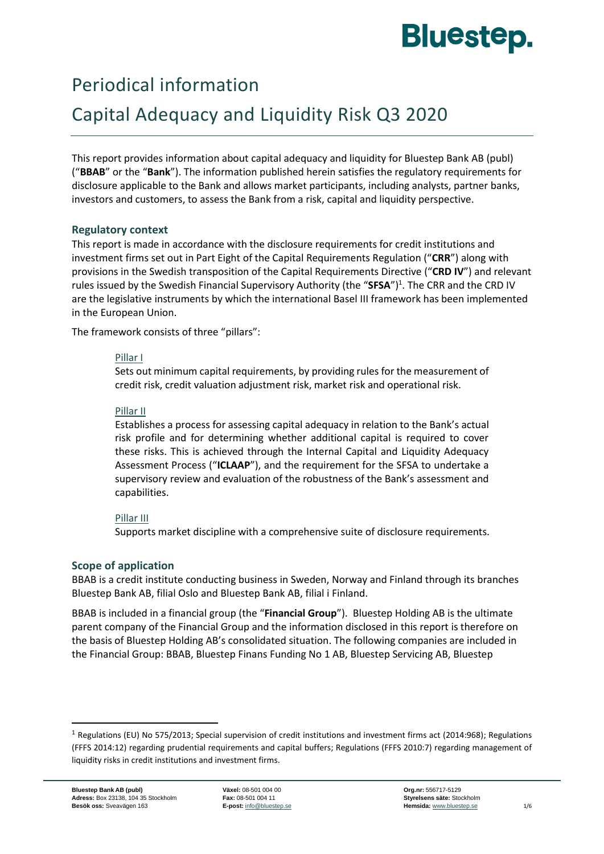# **Bluestep.**

# Periodical information

# Capital Adequacy and Liquidity Risk Q3 2020

This report provides information about capital adequacy and liquidity for Bluestep Bank AB (publ) ("**BBAB**" or the "**Bank**"). The information published herein satisfies the regulatory requirements for disclosure applicable to the Bank and allows market participants, including analysts, partner banks, investors and customers, to assess the Bank from a risk, capital and liquidity perspective.

# **Regulatory context**

This report is made in accordance with the disclosure requirements for credit institutions and investment firms set out in Part Eight of the Capital Requirements Regulation ("**CRR**") along with provisions in the Swedish transposition of the Capital Requirements Directive ("**CRD IV**") and relevant rules issued by the Swedish Financial Supervisory Authority (the "SFSA")<sup>1</sup>. The CRR and the CRD IV are the legislative instruments by which the international Basel III framework has been implemented in the European Union.

The framework consists of three "pillars":

# Pillar I

Sets out minimum capital requirements, by providing rules for the measurement of credit risk, credit valuation adjustment risk, market risk and operational risk.

# Pillar II

Establishes a process for assessing capital adequacy in relation to the Bank's actual risk profile and for determining whether additional capital is required to cover these risks. This is achieved through the Internal Capital and Liquidity Adequacy Assessment Process ("**ICLAAP**"), and the requirement for the SFSA to undertake a supervisory review and evaluation of the robustness of the Bank's assessment and capabilities.

# Pillar III

Supports market discipline with a comprehensive suite of disclosure requirements.

# **Scope of application**

BBAB is a credit institute conducting business in Sweden, Norway and Finland through its branches Bluestep Bank AB, filial Oslo and Bluestep Bank AB, filial i Finland.

BBAB is included in a financial group (the "**Financial Group**"). Bluestep Holding AB is the ultimate parent company of the Financial Group and the information disclosed in this report is therefore on the basis of Bluestep Holding AB's consolidated situation. The following companies are included in the Financial Group: BBAB, Bluestep Finans Funding No 1 AB, Bluestep Servicing AB, Bluestep

 $1$  Regulations (EU) No 575/2013; Special supervision of credit institutions and investment firms act (2014:968); Regulations (FFFS 2014:12) regarding prudential requirements and capital buffers; Regulations (FFFS 2010:7) regarding management of liquidity risks in credit institutions and investment firms.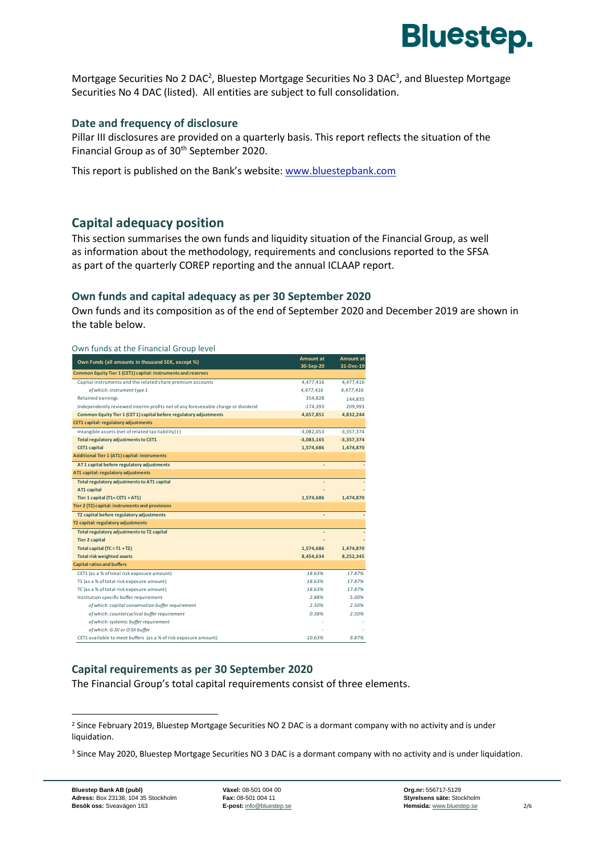

Mortgage Securities No 2 DAC<sup>2</sup>, Bluestep Mortgage Securities No 3 DAC<sup>3</sup>, and Bluestep Mortgage Securities No 4 DAC (listed). All entities are subject to full consolidation.

### **Date and frequency of disclosure**

Pillar III disclosures are provided on a quarterly basis. This report reflects the situation of the Financial Group as of 30<sup>th</sup> September 2020.

This report is published on the Bank's website: [www.bluestepbank.com](http://www.bluestepbank.com/)

# **Capital adequacy position**

This section summarises the own funds and liquidity situation of the Financial Group, as well as information about the methodology, requirements and conclusions reported to the SFSA as part of the quarterly COREP reporting and the annual ICLAAP report.

### **Own funds and capital adequacy as per 30 September 2020**

Own funds and its composition as of the end of September 2020 and December 2019 are shown in the table below.

| Own funds at the Financial Group level                                           |              |              |
|----------------------------------------------------------------------------------|--------------|--------------|
| Own Funds (all amounts in thousand SEK, except %)                                | Amount at    | Amount at    |
| Common Equity Tier 1 (CET1) capital: instruments and reserves                    | 30-Sep-20    | 31-Dec-19    |
| Capital instruments and the related share premium accounts                       | 4,477,416    | 4,477,416    |
| of which: instrument type 1                                                      | 4,477,416    | 4,477,416    |
| Retained earnings                                                                | 354,828      | 144,835      |
| Independently reviewed interim profits net of any foreseeable charge or dividend | $-174,393$   | 209,993      |
| Common Equity Tier 1 (CET 1) capital before regulatory adjustments               | 4,657,851    | 4,832,244    |
| CET1 capital: regulatory adjustments                                             |              |              |
| Intangible assets (net of related tax liability) (-)                             | $-3,082,053$ | $-3,357,374$ |
| Total regulatory adjustments to CET1                                             | $-3,083,165$ | $-3,357,374$ |
| <b>CET1 capital</b>                                                              | 1,574,686    | 1,474,870    |
| <b>Additional Tier 1 (AT1) capital: instruments</b>                              |              |              |
| AT 1 capital before regulatory adjustments                                       |              |              |
| AT1 capital: regulatory adjustments                                              |              |              |
| Total regulatory adjustments to AT1 capital                                      |              |              |
| <b>AT1 capital</b>                                                               |              |              |
| Tier 1 capital (T1=CET1 + AT1)                                                   | 1,574,686    | 1,474,870    |
| Tier 2 (T2) capital: instruments and provisions                                  |              |              |
| T2 capital before regulatory adjustments                                         |              |              |
| T2 capital: regulatory adjustments                                               |              |              |
| Total regulatory adjustments to T2 capital                                       |              |              |
| <b>Tier 2 capital</b>                                                            |              |              |
| Total capital $(TC = T1 + T2)$                                                   | 1,574,686    | 1,474,870    |
| <b>Total risk weighted assets</b>                                                | 8,454,634    | 8,252,345    |
| <b>Capital ratios and buffers</b>                                                |              |              |
| CET1 (as a % of total risk exposure amount)                                      | 18.63%       | 17.87%       |
| T1 (as a % of total risk exposure amount)                                        | 18.63%       | 17.87%       |
| TC (as a % of total risk exposure amount)                                        | 18.63%       | 17.87%       |
| Institution specific buffer requirement                                          | 2.88%        | 5.00%        |
| of which: capital conservation buffer requirement                                | 2.50%        | 2.50%        |
| of which: countercyclical buffer requirement                                     | 0.38%        | 2.50%        |
| of which: systemic buffer requirement                                            |              |              |
| of which: G-SII or O-SII buffer                                                  |              |              |
| CET1 available to meet buffers (as a % of risk exposure amount)                  | 10.63%       | 9.87%        |

### **Capital requirements as per 30 September 2020**

The Financial Group's total capital requirements consist of three elements.

<sup>&</sup>lt;sup>2</sup> Since February 2019, Bluestep Mortgage Securities NO 2 DAC is a dormant company with no activity and is under liquidation.

<sup>&</sup>lt;sup>3</sup> Since May 2020, Bluestep Mortgage Securities NO 3 DAC is a dormant company with no activity and is under liquidation.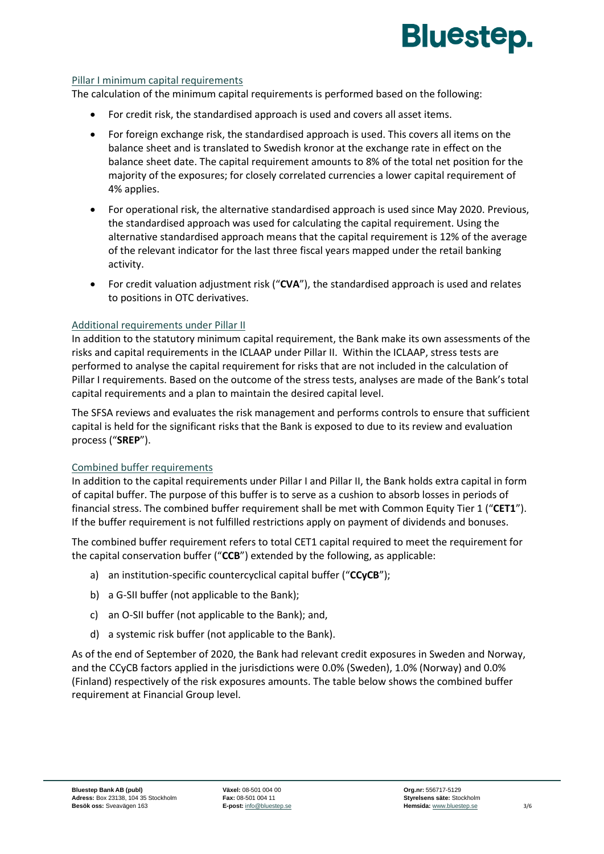

### Pillar I minimum capital requirements

The calculation of the minimum capital requirements is performed based on the following:

- For credit risk, the standardised approach is used and covers all asset items.
- For foreign exchange risk, the standardised approach is used. This covers all items on the balance sheet and is translated to Swedish kronor at the exchange rate in effect on the balance sheet date. The capital requirement amounts to 8% of the total net position for the majority of the exposures; for closely correlated currencies a lower capital requirement of 4% applies.
- For operational risk, the alternative standardised approach is used since May 2020. Previous, the standardised approach was used for calculating the capital requirement. Using the alternative standardised approach means that the capital requirement is 12% of the average of the relevant indicator for the last three fiscal years mapped under the retail banking activity.
- For credit valuation adjustment risk ("**CVA**"), the standardised approach is used and relates to positions in OTC derivatives.

### Additional requirements under Pillar II

In addition to the statutory minimum capital requirement, the Bank make its own assessments of the risks and capital requirements in the ICLAAP under Pillar II. Within the ICLAAP, stress tests are performed to analyse the capital requirement for risks that are not included in the calculation of Pillar I requirements. Based on the outcome of the stress tests, analyses are made of the Bank's total capital requirements and a plan to maintain the desired capital level.

The SFSA reviews and evaluates the risk management and performs controls to ensure that sufficient capital is held for the significant risks that the Bank is exposed to due to its review and evaluation process ("**SREP**").

### Combined buffer requirements

In addition to the capital requirements under Pillar I and Pillar II, the Bank holds extra capital in form of capital buffer. The purpose of this buffer is to serve as a cushion to absorb losses in periods of financial stress. The combined buffer requirement shall be met with Common Equity Tier 1 ("**CET1**"). If the buffer requirement is not fulfilled restrictions apply on payment of dividends and bonuses.

The combined buffer requirement refers to total CET1 capital required to meet the requirement for the capital conservation buffer ("**CCB**") extended by the following, as applicable:

- a) an institution-specific countercyclical capital buffer ("**CCyCB**");
- b) a G-SII buffer (not applicable to the Bank);
- c) an O-SII buffer (not applicable to the Bank); and,
- d) a systemic risk buffer (not applicable to the Bank).

As of the end of September of 2020, the Bank had relevant credit exposures in Sweden and Norway, and the CCyCB factors applied in the jurisdictions were 0.0% (Sweden), 1.0% (Norway) and 0.0% (Finland) respectively of the risk exposures amounts. The table below shows the combined buffer requirement at Financial Group level.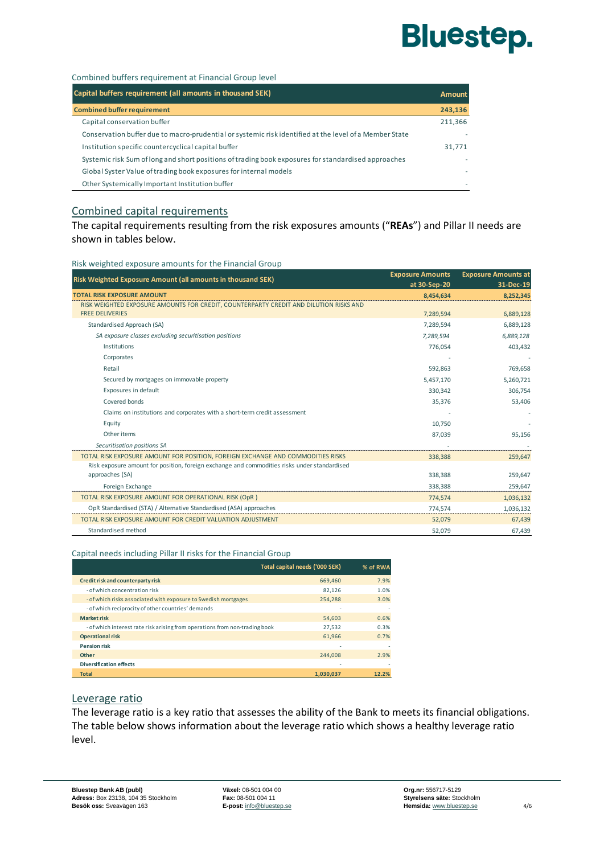# **Bluestep.**

Combined buffers requirement at Financial Group level

| Capital buffers requirement (all amounts in thousand SEK)                                              | Amount  |
|--------------------------------------------------------------------------------------------------------|---------|
| <b>Combined buffer requirement</b>                                                                     | 243,136 |
| Capital conservation buffer                                                                            | 211,366 |
| Conservation buffer due to macro-prudential or systemic risk identified at the level of a Member State |         |
| Institution specific countercyclical capital buffer                                                    | 31,771  |
| Systemic risk Sum of long and short positions of trading book exposures for standardised approaches    |         |
| Global Syster Value of trading book exposures for internal models                                      |         |
| Other Systemically Important Institution buffer                                                        |         |

### Combined capital requirements

The capital requirements resulting from the risk exposures amounts ("**REAs**") and Pillar II needs are shown in tables below.

#### Risk weighted exposure amounts for the Financial Group

| Risk Weighted Exposure Amount (all amounts in thousand SEK)                                                     | <b>Exposure Amounts</b><br>at 30-Sep-20 | <b>Exposure Amounts at</b><br>31-Dec-19 |
|-----------------------------------------------------------------------------------------------------------------|-----------------------------------------|-----------------------------------------|
| <b>TOTAL RISK EXPOSURE AMOUNT</b>                                                                               | 8,454,634                               | 8,252,345                               |
| RISK WEIGHTED EXPOSURE AMOUNTS FOR CREDIT, COUNTERPARTY CREDIT AND DILUTION RISKS AND<br><b>FREE DELIVERIES</b> | 7,289,594                               | 6,889,128                               |
| Standardised Approach (SA)                                                                                      | 7,289,594                               | 6,889,128                               |
| SA exposure classes excluding securitisation positions                                                          | 7,289,594                               | 6,889,128                               |
| Institutions                                                                                                    | 776,054                                 | 403,432                                 |
| Corporates                                                                                                      |                                         |                                         |
| Retail                                                                                                          | 592,863                                 | 769,658                                 |
| Secured by mortgages on immovable property                                                                      | 5,457,170                               | 5,260,721                               |
| Exposures in default                                                                                            | 330,342                                 | 306,754                                 |
| Covered bonds                                                                                                   | 35,376                                  | 53,406                                  |
| Claims on institutions and corporates with a short-term credit assessment                                       |                                         |                                         |
| Equity                                                                                                          | 10,750                                  |                                         |
| Other items                                                                                                     | 87,039                                  | 95,156                                  |
| Securitisation positions SA                                                                                     |                                         |                                         |
| TOTAL RISK EXPOSURE AMOUNT FOR POSITION, FOREIGN EXCHANGE AND COMMODITIES RISKS                                 | 338,388                                 | 259,647                                 |
| Risk exposure amount for position, foreign exchange and commodities risks under standardised                    |                                         |                                         |
| approaches (SA)                                                                                                 | 338,388                                 | 259,647                                 |
| Foreign Exchange                                                                                                | 338,388                                 | 259,647                                 |
| TOTAL RISK EXPOSURE AMOUNT FOR OPERATIONAL RISK (OpR)                                                           | 774,574                                 | 1,036,132                               |
| OpR Standardised (STA) / Alternative Standardised (ASA) approaches                                              | 774,574                                 | 1,036,132                               |
| TOTAL RISK EXPOSURE AMOUNT FOR CREDIT VALUATION ADJUSTMENT                                                      | 52,079                                  | 67,439                                  |
| Standardised method                                                                                             | 52,079                                  | 67,439                                  |

#### Capital needs including Pillar II risks for the Financial Group

|                                                                             | Total capital needs ('000 SEK) | % of RWA |
|-----------------------------------------------------------------------------|--------------------------------|----------|
| Credit risk and counterparty risk                                           | 669,460                        | 7.9%     |
| - of which concentration risk                                               | 82.126                         | 1.0%     |
| - of which risks associated with exposure to Swedish mortgages              | 254.288                        | 3.0%     |
| - of which reciprocity of other countries' demands                          | ۰                              | $\sim$   |
| <b>Market risk</b>                                                          | 54,603                         | 0.6%     |
| - of which interest rate risk arising from operations from non-trading book | 27,532                         | 0.3%     |
| <b>Operational risk</b>                                                     | 61.966                         | 0.7%     |
| <b>Pension risk</b>                                                         | ۰                              | $\sim$   |
| Other                                                                       | 244.008                        | 2.9%     |
| <b>Diversification effects</b>                                              | ۰                              | ٠        |
| <b>Total</b>                                                                | 1.030.037                      | 12.2%    |

### Leverage ratio

The leverage ratio is a key ratio that assesses the ability of the Bank to meets its financial obligations. The table below shows information about the leverage ratio which shows a healthy leverage ratio level.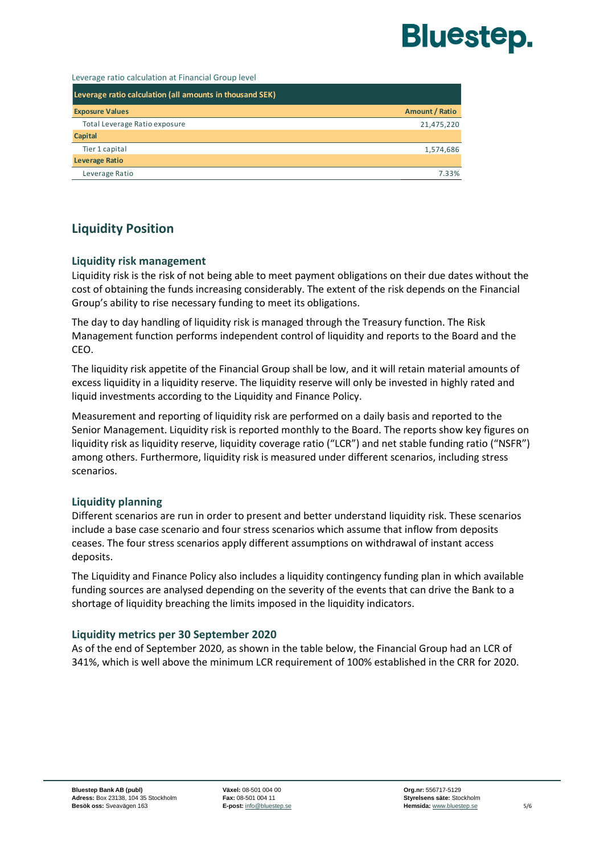

Leverage ratio calculation at Financial Group level

| Leverage ratio calculation (all amounts in thousand SEK) |                       |
|----------------------------------------------------------|-----------------------|
| <b>Exposure Values</b>                                   | <b>Amount / Ratio</b> |
| Total Leverage Ratio exposure                            | 21,475,220            |
| <b>Capital</b>                                           |                       |
| Tier 1 capital                                           | 1,574,686             |
| <b>Leverage Ratio</b>                                    |                       |
| Leverage Ratio                                           | 7.33%                 |

# **Liquidity Position**

### **Liquidity risk management**

Liquidity risk is the risk of not being able to meet payment obligations on their due dates without the cost of obtaining the funds increasing considerably. The extent of the risk depends on the Financial Group's ability to rise necessary funding to meet its obligations.

The day to day handling of liquidity risk is managed through the Treasury function. The Risk Management function performs independent control of liquidity and reports to the Board and the CEO.

The liquidity risk appetite of the Financial Group shall be low, and it will retain material amounts of excess liquidity in a liquidity reserve. The liquidity reserve will only be invested in highly rated and liquid investments according to the Liquidity and Finance Policy.

Measurement and reporting of liquidity risk are performed on a daily basis and reported to the Senior Management. Liquidity risk is reported monthly to the Board. The reports show key figures on liquidity risk as liquidity reserve, liquidity coverage ratio ("LCR") and net stable funding ratio ("NSFR") among others. Furthermore, liquidity risk is measured under different scenarios, including stress scenarios.

# **Liquidity planning**

Different scenarios are run in order to present and better understand liquidity risk. These scenarios include a base case scenario and four stress scenarios which assume that inflow from deposits ceases. The four stress scenarios apply different assumptions on withdrawal of instant access deposits.

The Liquidity and Finance Policy also includes a liquidity contingency funding plan in which available funding sources are analysed depending on the severity of the events that can drive the Bank to a shortage of liquidity breaching the limits imposed in the liquidity indicators.

### **Liquidity metrics per 30 September 2020**

As of the end of September 2020, as shown in the table below, the Financial Group had an LCR of 341%, which is well above the minimum LCR requirement of 100% established in the CRR for 2020.